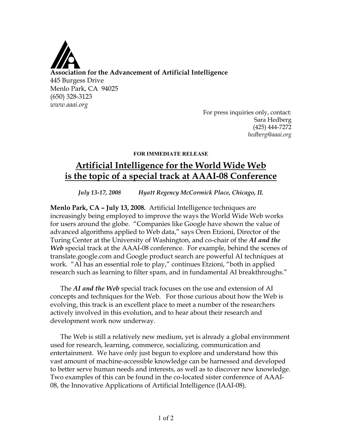

For press inquiries only, contact: Sara Hedberg (425) 444-7272 *hedberg@aaai.org*

## **FOR IMMEDIATE RELEASE**

## **Artificial Intelligence for the World Wide Web is the topic of a special track at AAAI-08 Conference**

*July 13-17, 2008 Hyatt Regency McCormick Place, Chicago, IL*

**Menlo Park, CA – July 13, 2008.** Artificial Intelligence techniques are increasingly being employed to improve the ways the World Wide Web works for users around the globe. "Companies like Google have shown the value of advanced algorithms applied to Web data," says Oren Etzioni, Director of the Turing Center at the University of Washington, and co-chair of the *AI and the Web* special track at the AAAI-08 conference. For example, behind the scenes of translate.google.com and Google product search are powerful AI techniques at work. "AI has an essential role to play," continues Etzioni, "both in applied research such as learning to filter spam, and in fundamental AI breakthroughs."

The *AI and the Web* special track focuses on the use and extension of AI concepts and techniques for the Web. For those curious about how the Web is evolving, this track is an excellent place to meet a number of the researchers actively involved in this evolution, and to hear about their research and development work now underway.

The Web is still a relatively new medium, yet is already a global environment used for research, learning, commerce, socializing, communication and entertainment. We have only just begun to explore and understand how this vast amount of machine-accessible knowledge can be harnessed and developed to better serve human needs and interests, as well as to discover new knowledge. Two examples of this can be found in the co-located sister conference of AAAI-08, the Innovative Applications of Artificial Intelligence (IAAI-08).